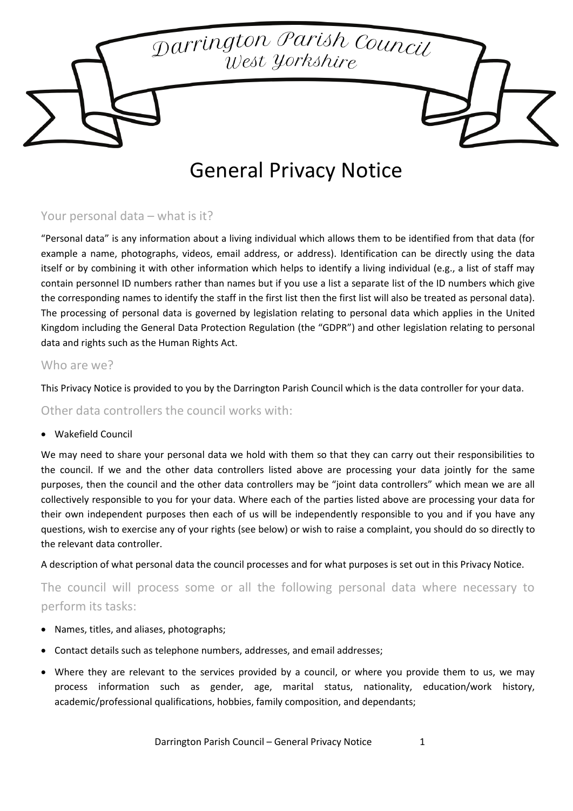Darrington Parish Council s<br>West Yorkshire

# General Privacy Notice

# Your personal data – what is it?

"Personal data" is any information about a living individual which allows them to be identified from that data (for example a name, photographs, videos, email address, or address). Identification can be directly using the data itself or by combining it with other information which helps to identify a living individual (e.g., a list of staff may contain personnel ID numbers rather than names but if you use a list a separate list of the ID numbers which give the corresponding names to identify the staff in the first list then the first list will also be treated as personal data). The processing of personal data is governed by legislation relating to personal data which applies in the United Kingdom including the General Data Protection Regulation (the "GDPR") and other legislation relating to personal data and rights such as the Human Rights Act.

### Who are we?

This Privacy Notice is provided to you by the Darrington Parish Council which is the data controller for your data.

Other data controllers the council works with:

#### • Wakefield Council

We may need to share your personal data we hold with them so that they can carry out their responsibilities to the council. If we and the other data controllers listed above are processing your data jointly for the same purposes, then the council and the other data controllers may be "joint data controllers" which mean we are all collectively responsible to you for your data. Where each of the parties listed above are processing your data for their own independent purposes then each of us will be independently responsible to you and if you have any questions, wish to exercise any of your rights (see below) or wish to raise a complaint, you should do so directly to the relevant data controller.

A description of what personal data the council processes and for what purposes is set out in this Privacy Notice.

The council will process some or all the following personal data where necessary to perform its tasks:

- Names, titles, and aliases, photographs;
- Contact details such as telephone numbers, addresses, and email addresses;
- Where they are relevant to the services provided by a council, or where you provide them to us, we may process information such as gender, age, marital status, nationality, education/work history, academic/professional qualifications, hobbies, family composition, and dependants;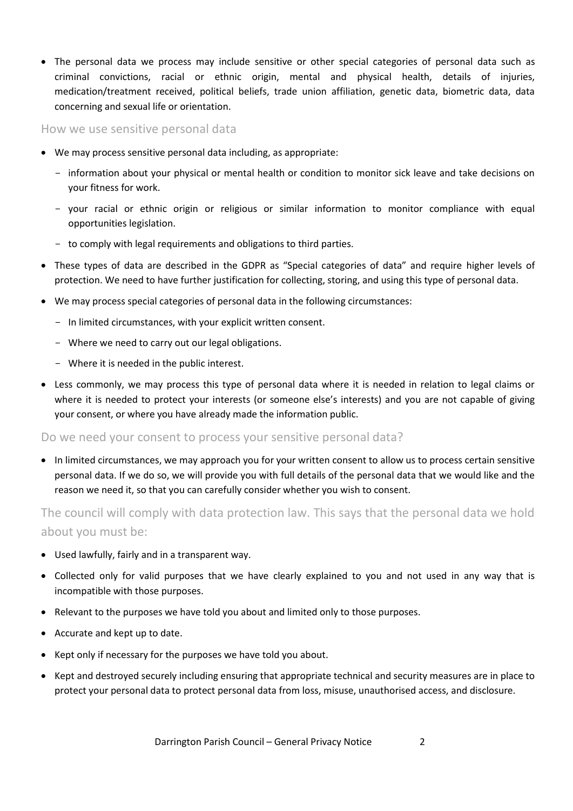• The personal data we process may include sensitive or other special categories of personal data such as criminal convictions, racial or ethnic origin, mental and physical health, details of injuries, medication/treatment received, political beliefs, trade union affiliation, genetic data, biometric data, data concerning and sexual life or orientation.

How we use sensitive personal data

- We may process sensitive personal data including, as appropriate:
	- information about your physical or mental health or condition to monitor sick leave and take decisions on your fitness for work.
	- your racial or ethnic origin or religious or similar information to monitor compliance with equal opportunities legislation.
	- to comply with legal requirements and obligations to third parties.
- These types of data are described in the GDPR as "Special categories of data" and require higher levels of protection. We need to have further justification for collecting, storing, and using this type of personal data.
- We may process special categories of personal data in the following circumstances:
	- In limited circumstances, with your explicit written consent.
	- Where we need to carry out our legal obligations.
	- Where it is needed in the public interest.
- Less commonly, we may process this type of personal data where it is needed in relation to legal claims or where it is needed to protect your interests (or someone else's interests) and you are not capable of giving your consent, or where you have already made the information public.

Do we need your consent to process your sensitive personal data?

• In limited circumstances, we may approach you for your written consent to allow us to process certain sensitive personal data. If we do so, we will provide you with full details of the personal data that we would like and the reason we need it, so that you can carefully consider whether you wish to consent.

The council will comply with data protection law. This says that the personal data we hold about you must be:

- Used lawfully, fairly and in a transparent way.
- Collected only for valid purposes that we have clearly explained to you and not used in any way that is incompatible with those purposes.
- Relevant to the purposes we have told you about and limited only to those purposes.
- Accurate and kept up to date.
- Kept only if necessary for the purposes we have told you about.
- Kept and destroyed securely including ensuring that appropriate technical and security measures are in place to protect your personal data to protect personal data from loss, misuse, unauthorised access, and disclosure.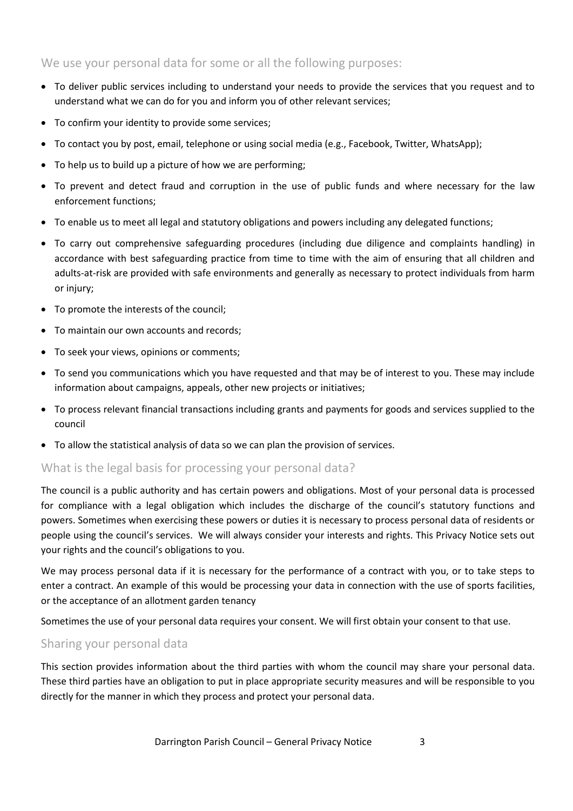# We use your personal data for some or all the following purposes:

- To deliver public services including to understand your needs to provide the services that you request and to understand what we can do for you and inform you of other relevant services;
- To confirm your identity to provide some services;
- To contact you by post, email, telephone or using social media (e.g., Facebook, Twitter, WhatsApp);
- To help us to build up a picture of how we are performing;
- To prevent and detect fraud and corruption in the use of public funds and where necessary for the law enforcement functions;
- To enable us to meet all legal and statutory obligations and powers including any delegated functions;
- To carry out comprehensive safeguarding procedures (including due diligence and complaints handling) in accordance with best safeguarding practice from time to time with the aim of ensuring that all children and adults-at-risk are provided with safe environments and generally as necessary to protect individuals from harm or injury;
- To promote the interests of the council;
- To maintain our own accounts and records;
- To seek your views, opinions or comments;
- To send you communications which you have requested and that may be of interest to you. These may include information about campaigns, appeals, other new projects or initiatives;
- To process relevant financial transactions including grants and payments for goods and services supplied to the council
- To allow the statistical analysis of data so we can plan the provision of services.

## What is the legal basis for processing your personal data?

The council is a public authority and has certain powers and obligations. Most of your personal data is processed for compliance with a legal obligation which includes the discharge of the council's statutory functions and powers. Sometimes when exercising these powers or duties it is necessary to process personal data of residents or people using the council's services. We will always consider your interests and rights. This Privacy Notice sets out your rights and the council's obligations to you.

We may process personal data if it is necessary for the performance of a contract with you, or to take steps to enter a contract. An example of this would be processing your data in connection with the use of sports facilities, or the acceptance of an allotment garden tenancy

Sometimes the use of your personal data requires your consent. We will first obtain your consent to that use.

# Sharing your personal data

This section provides information about the third parties with whom the council may share your personal data. These third parties have an obligation to put in place appropriate security measures and will be responsible to you directly for the manner in which they process and protect your personal data.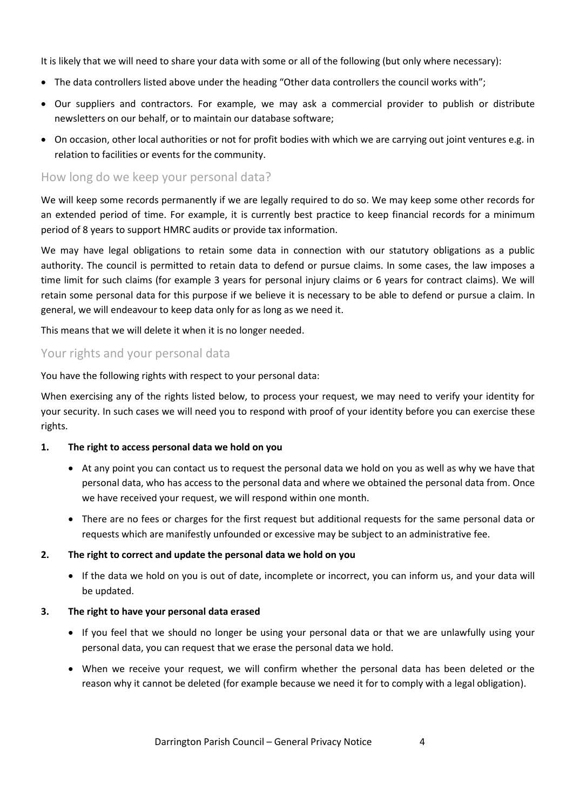It is likely that we will need to share your data with some or all of the following (but only where necessary):

- The data controllers listed above under the heading "Other data controllers the council works with";
- Our suppliers and contractors. For example, we may ask a commercial provider to publish or distribute newsletters on our behalf, or to maintain our database software;
- On occasion, other local authorities or not for profit bodies with which we are carrying out joint ventures e.g. in relation to facilities or events for the community.

## How long do we keep your personal data?

We will keep some records permanently if we are legally required to do so. We may keep some other records for an extended period of time. For example, it is currently best practice to keep financial records for a minimum period of 8 years to support HMRC audits or provide tax information.

We may have legal obligations to retain some data in connection with our statutory obligations as a public authority. The council is permitted to retain data to defend or pursue claims. In some cases, the law imposes a time limit for such claims (for example 3 years for personal injury claims or 6 years for contract claims). We will retain some personal data for this purpose if we believe it is necessary to be able to defend or pursue a claim. In general, we will endeavour to keep data only for as long as we need it.

This means that we will delete it when it is no longer needed.

# Your rights and your personal data

You have the following rights with respect to your personal data:

When exercising any of the rights listed below, to process your request, we may need to verify your identity for your security. In such cases we will need you to respond with proof of your identity before you can exercise these rights.

#### **1. The right to access personal data we hold on you**

- At any point you can contact us to request the personal data we hold on you as well as why we have that personal data, who has access to the personal data and where we obtained the personal data from. Once we have received your request, we will respond within one month.
- There are no fees or charges for the first request but additional requests for the same personal data or requests which are manifestly unfounded or excessive may be subject to an administrative fee.

#### **2. The right to correct and update the personal data we hold on you**

• If the data we hold on you is out of date, incomplete or incorrect, you can inform us, and your data will be updated.

#### **3. The right to have your personal data erased**

- If you feel that we should no longer be using your personal data or that we are unlawfully using your personal data, you can request that we erase the personal data we hold.
- When we receive your request, we will confirm whether the personal data has been deleted or the reason why it cannot be deleted (for example because we need it for to comply with a legal obligation).